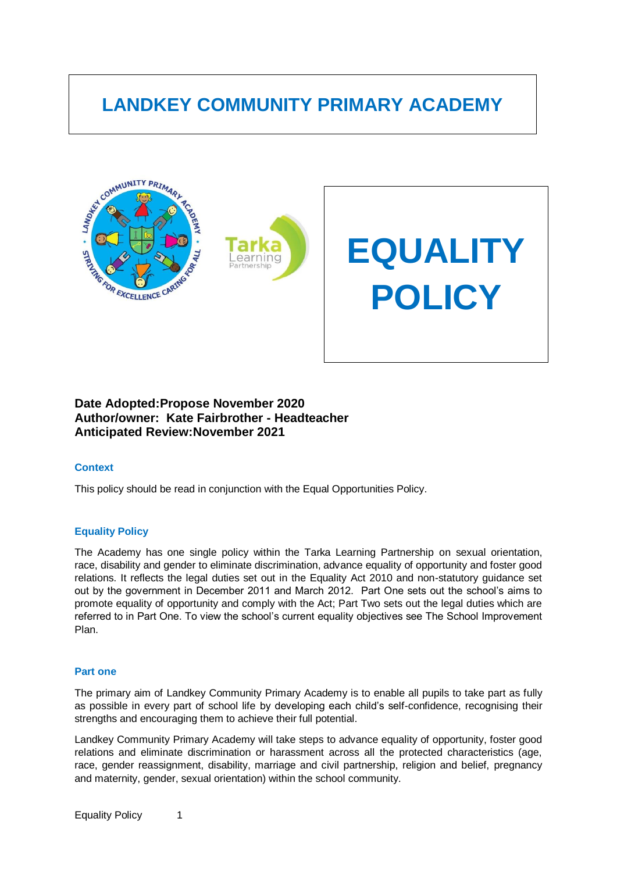# **LANDKEY COMMUNITY PRIMARY ACADEMY**



# **Date Adopted:Propose November 2020 Author/owner: Kate Fairbrother - Headteacher Anticipated Review:November 2021**

# **Context**

This policy should be read in conjunction with the Equal Opportunities Policy.

# **Equality Policy**

The Academy has one single policy within the Tarka Learning Partnership on sexual orientation, race, disability and gender to eliminate discrimination, advance equality of opportunity and foster good relations. It reflects the legal duties set out in the Equality Act 2010 and non-statutory guidance set out by the government in December 2011 and March 2012. Part One sets out the school"s aims to promote equality of opportunity and comply with the Act; Part Two sets out the legal duties which are referred to in Part One. To view the school's current equality objectives see The School Improvement Plan.

#### **Part one**

The primary aim of Landkey Community Primary Academy is to enable all pupils to take part as fully as possible in every part of school life by developing each child"s self-confidence, recognising their strengths and encouraging them to achieve their full potential.

Landkey Community Primary Academy will take steps to advance equality of opportunity, foster good relations and eliminate discrimination or harassment across all the protected characteristics (age, race, gender reassignment, disability, marriage and civil partnership, religion and belief, pregnancy and maternity, gender, sexual orientation) within the school community.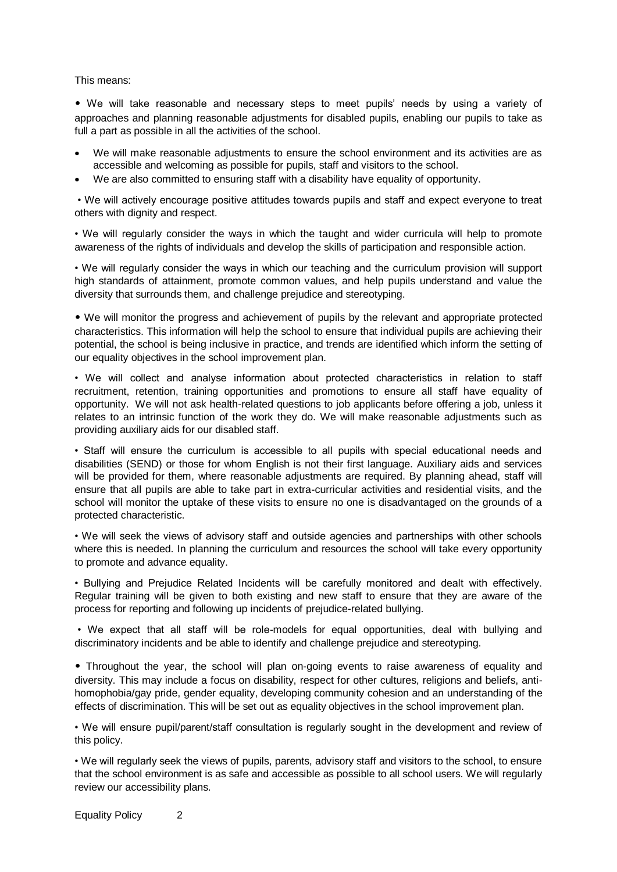This means:

• We will take reasonable and necessary steps to meet pupils" needs by using a variety of approaches and planning reasonable adjustments for disabled pupils, enabling our pupils to take as full a part as possible in all the activities of the school.

- We will make reasonable adjustments to ensure the school environment and its activities are as accessible and welcoming as possible for pupils, staff and visitors to the school.
- We are also committed to ensuring staff with a disability have equality of opportunity.

• We will actively encourage positive attitudes towards pupils and staff and expect everyone to treat others with dignity and respect.

• We will regularly consider the ways in which the taught and wider curricula will help to promote awareness of the rights of individuals and develop the skills of participation and responsible action.

• We will regularly consider the ways in which our teaching and the curriculum provision will support high standards of attainment, promote common values, and help pupils understand and value the diversity that surrounds them, and challenge prejudice and stereotyping.

• We will monitor the progress and achievement of pupils by the relevant and appropriate protected characteristics. This information will help the school to ensure that individual pupils are achieving their potential, the school is being inclusive in practice, and trends are identified which inform the setting of our equality objectives in the school improvement plan.

• We will collect and analyse information about protected characteristics in relation to staff recruitment, retention, training opportunities and promotions to ensure all staff have equality of opportunity. We will not ask health-related questions to job applicants before offering a job, unless it relates to an intrinsic function of the work they do. We will make reasonable adjustments such as providing auxiliary aids for our disabled staff.

• Staff will ensure the curriculum is accessible to all pupils with special educational needs and disabilities (SEND) or those for whom English is not their first language. Auxiliary aids and services will be provided for them, where reasonable adjustments are required. By planning ahead, staff will ensure that all pupils are able to take part in extra-curricular activities and residential visits, and the school will monitor the uptake of these visits to ensure no one is disadvantaged on the grounds of a protected characteristic.

• We will seek the views of advisory staff and outside agencies and partnerships with other schools where this is needed. In planning the curriculum and resources the school will take every opportunity to promote and advance equality.

• Bullying and Prejudice Related Incidents will be carefully monitored and dealt with effectively. Regular training will be given to both existing and new staff to ensure that they are aware of the process for reporting and following up incidents of prejudice-related bullying.

• We expect that all staff will be role-models for equal opportunities, deal with bullying and discriminatory incidents and be able to identify and challenge prejudice and stereotyping.

• Throughout the year, the school will plan on-going events to raise awareness of equality and diversity. This may include a focus on disability, respect for other cultures, religions and beliefs, antihomophobia/gay pride, gender equality, developing community cohesion and an understanding of the effects of discrimination. This will be set out as equality objectives in the school improvement plan.

• We will ensure pupil/parent/staff consultation is regularly sought in the development and review of this policy.

• We will regularly seek the views of pupils, parents, advisory staff and visitors to the school, to ensure that the school environment is as safe and accessible as possible to all school users. We will regularly review our accessibility plans.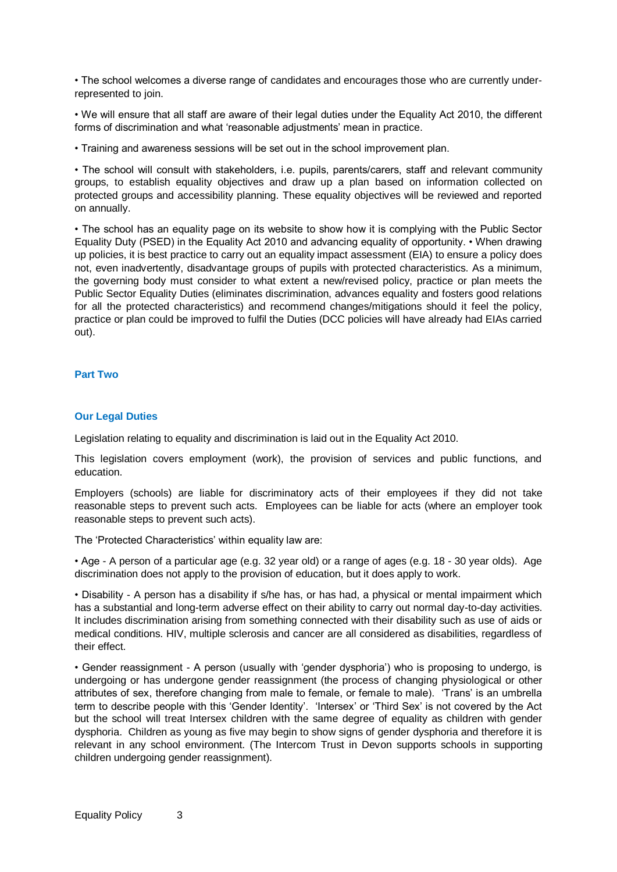• The school welcomes a diverse range of candidates and encourages those who are currently underrepresented to join.

• We will ensure that all staff are aware of their legal duties under the Equality Act 2010, the different forms of discrimination and what 'reasonable adjustments' mean in practice.

• Training and awareness sessions will be set out in the school improvement plan.

• The school will consult with stakeholders, i.e. pupils, parents/carers, staff and relevant community groups, to establish equality objectives and draw up a plan based on information collected on protected groups and accessibility planning. These equality objectives will be reviewed and reported on annually.

• The school has an equality page on its website to show how it is complying with the Public Sector Equality Duty (PSED) in the Equality Act 2010 and advancing equality of opportunity. • When drawing up policies, it is best practice to carry out an equality impact assessment (EIA) to ensure a policy does not, even inadvertently, disadvantage groups of pupils with protected characteristics. As a minimum, the governing body must consider to what extent a new/revised policy, practice or plan meets the Public Sector Equality Duties (eliminates discrimination, advances equality and fosters good relations for all the protected characteristics) and recommend changes/mitigations should it feel the policy, practice or plan could be improved to fulfil the Duties (DCC policies will have already had EIAs carried out).

# **Part Two**

# **Our Legal Duties**

Legislation relating to equality and discrimination is laid out in the Equality Act 2010.

This legislation covers employment (work), the provision of services and public functions, and education.

Employers (schools) are liable for discriminatory acts of their employees if they did not take reasonable steps to prevent such acts. Employees can be liable for acts (where an employer took reasonable steps to prevent such acts).

The 'Protected Characteristics' within equality law are:

• Age - A person of a particular age (e.g. 32 year old) or a range of ages (e.g. 18 - 30 year olds). Age discrimination does not apply to the provision of education, but it does apply to work.

• Disability - A person has a disability if s/he has, or has had, a physical or mental impairment which has a substantial and long-term adverse effect on their ability to carry out normal day-to-day activities. It includes discrimination arising from something connected with their disability such as use of aids or medical conditions. HIV, multiple sclerosis and cancer are all considered as disabilities, regardless of their effect.

• Gender reassignment - A person (usually with "gender dysphoria") who is proposing to undergo, is undergoing or has undergone gender reassignment (the process of changing physiological or other attributes of sex, therefore changing from male to female, or female to male). "Trans" is an umbrella term to describe people with this 'Gender Identity'. 'Intersex' or 'Third Sex' is not covered by the Act but the school will treat Intersex children with the same degree of equality as children with gender dysphoria. Children as young as five may begin to show signs of gender dysphoria and therefore it is relevant in any school environment. (The Intercom Trust in Devon supports schools in supporting children undergoing gender reassignment).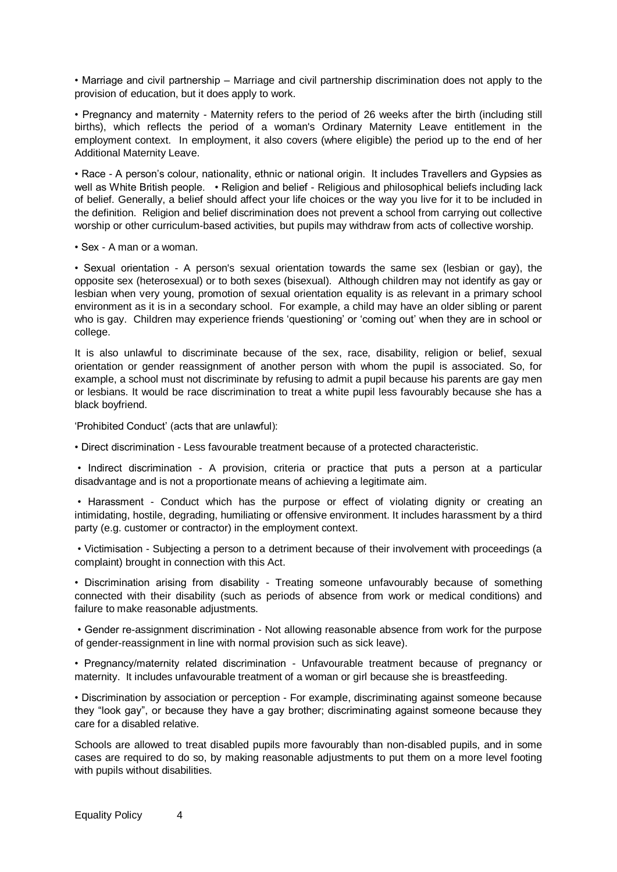• Marriage and civil partnership – Marriage and civil partnership discrimination does not apply to the provision of education, but it does apply to work.

• Pregnancy and maternity - Maternity refers to the period of 26 weeks after the birth (including still births), which reflects the period of a woman's Ordinary Maternity Leave entitlement in the employment context. In employment, it also covers (where eligible) the period up to the end of her Additional Maternity Leave.

• Race - A person"s colour, nationality, ethnic or national origin. It includes Travellers and Gypsies as well as White British people. • Religion and belief - Religious and philosophical beliefs including lack of belief. Generally, a belief should affect your life choices or the way you live for it to be included in the definition. Religion and belief discrimination does not prevent a school from carrying out collective worship or other curriculum-based activities, but pupils may withdraw from acts of collective worship.

• Sex - A man or a woman.

• Sexual orientation - A person's sexual orientation towards the same sex (lesbian or gay), the opposite sex (heterosexual) or to both sexes (bisexual). Although children may not identify as gay or lesbian when very young, promotion of sexual orientation equality is as relevant in a primary school environment as it is in a secondary school. For example, a child may have an older sibling or parent who is gay. Children may experience friends 'questioning' or 'coming out' when they are in school or college.

It is also unlawful to discriminate because of the sex, race, disability, religion or belief, sexual orientation or gender reassignment of another person with whom the pupil is associated. So, for example, a school must not discriminate by refusing to admit a pupil because his parents are gay men or lesbians. It would be race discrimination to treat a white pupil less favourably because she has a black boyfriend.

"Prohibited Conduct" (acts that are unlawful):

• Direct discrimination - Less favourable treatment because of a protected characteristic.

• Indirect discrimination - A provision, criteria or practice that puts a person at a particular disadvantage and is not a proportionate means of achieving a legitimate aim.

• Harassment - Conduct which has the purpose or effect of violating dignity or creating an intimidating, hostile, degrading, humiliating or offensive environment. It includes harassment by a third party (e.g. customer or contractor) in the employment context.

• Victimisation - Subjecting a person to a detriment because of their involvement with proceedings (a complaint) brought in connection with this Act.

• Discrimination arising from disability - Treating someone unfavourably because of something connected with their disability (such as periods of absence from work or medical conditions) and failure to make reasonable adjustments.

• Gender re-assignment discrimination - Not allowing reasonable absence from work for the purpose of gender-reassignment in line with normal provision such as sick leave).

• Pregnancy/maternity related discrimination - Unfavourable treatment because of pregnancy or maternity. It includes unfavourable treatment of a woman or girl because she is breastfeeding.

• Discrimination by association or perception - For example, discriminating against someone because they "look gay", or because they have a gay brother; discriminating against someone because they care for a disabled relative.

Schools are allowed to treat disabled pupils more favourably than non-disabled pupils, and in some cases are required to do so, by making reasonable adjustments to put them on a more level footing with pupils without disabilities.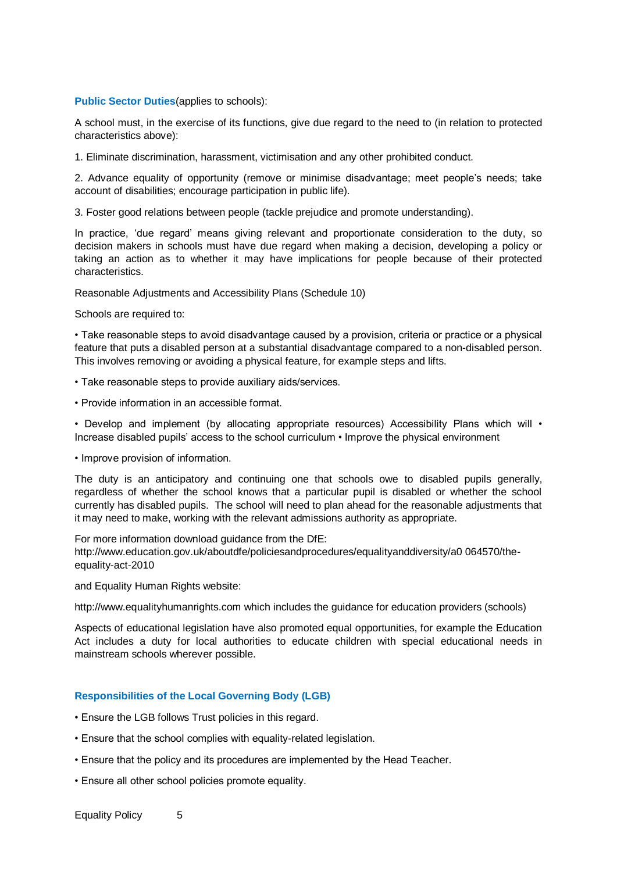#### **Public Sector Duties** (applies to schools):

A school must, in the exercise of its functions, give due regard to the need to (in relation to protected characteristics above):

1. Eliminate discrimination, harassment, victimisation and any other prohibited conduct.

2. Advance equality of opportunity (remove or minimise disadvantage; meet people"s needs; take account of disabilities; encourage participation in public life).

3. Foster good relations between people (tackle prejudice and promote understanding).

In practice, "due regard" means giving relevant and proportionate consideration to the duty, so decision makers in schools must have due regard when making a decision, developing a policy or taking an action as to whether it may have implications for people because of their protected characteristics.

Reasonable Adjustments and Accessibility Plans (Schedule 10)

Schools are required to:

• Take reasonable steps to avoid disadvantage caused by a provision, criteria or practice or a physical feature that puts a disabled person at a substantial disadvantage compared to a non-disabled person. This involves removing or avoiding a physical feature, for example steps and lifts.

- Take reasonable steps to provide auxiliary aids/services.
- Provide information in an accessible format.

• Develop and implement (by allocating appropriate resources) Accessibility Plans which will • Increase disabled pupils" access to the school curriculum • Improve the physical environment

• Improve provision of information.

The duty is an anticipatory and continuing one that schools owe to disabled pupils generally, regardless of whether the school knows that a particular pupil is disabled or whether the school currently has disabled pupils. The school will need to plan ahead for the reasonable adjustments that it may need to make, working with the relevant admissions authority as appropriate.

For more information download guidance from the DfE:

http://www.education.gov.uk/aboutdfe/policiesandprocedures/equalityanddiversity/a0 064570/theequality-act-2010

and Equality Human Rights website:

http://www.equalityhumanrights.com which includes the guidance for education providers (schools)

Aspects of educational legislation have also promoted equal opportunities, for example the Education Act includes a duty for local authorities to educate children with special educational needs in mainstream schools wherever possible.

# **Responsibilities of the Local Governing Body (LGB)**

- Ensure the LGB follows Trust policies in this regard.
- Ensure that the school complies with equality-related legislation.
- Ensure that the policy and its procedures are implemented by the Head Teacher.
- Ensure all other school policies promote equality.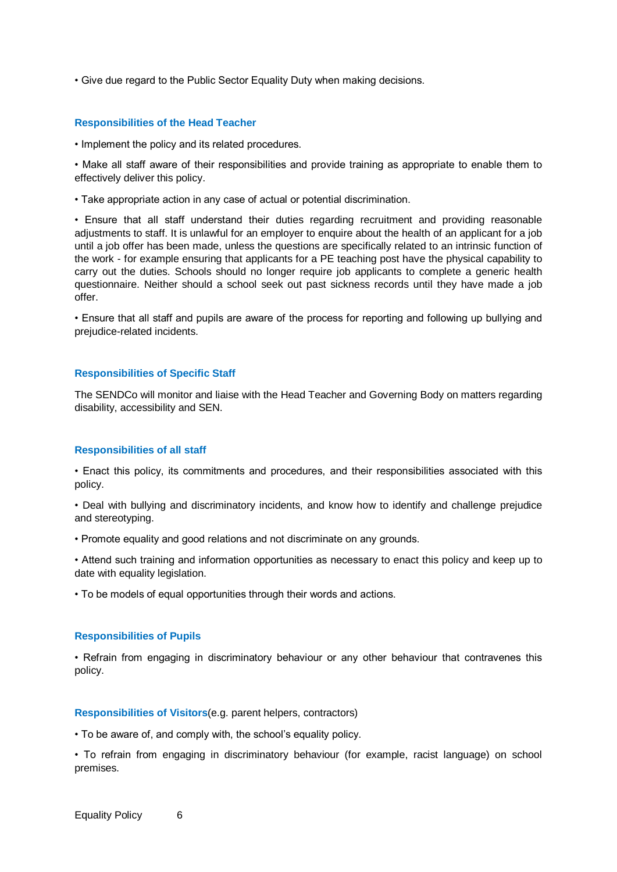• Give due regard to the Public Sector Equality Duty when making decisions.

#### **Responsibilities of the Head Teacher**

• Implement the policy and its related procedures.

• Make all staff aware of their responsibilities and provide training as appropriate to enable them to effectively deliver this policy.

• Take appropriate action in any case of actual or potential discrimination.

• Ensure that all staff understand their duties regarding recruitment and providing reasonable adjustments to staff. It is unlawful for an employer to enquire about the health of an applicant for a job until a job offer has been made, unless the questions are specifically related to an intrinsic function of the work - for example ensuring that applicants for a PE teaching post have the physical capability to carry out the duties. Schools should no longer require job applicants to complete a generic health questionnaire. Neither should a school seek out past sickness records until they have made a job offer.

• Ensure that all staff and pupils are aware of the process for reporting and following up bullying and prejudice-related incidents.

# **Responsibilities of Specific Staff**

The SENDCo will monitor and liaise with the Head Teacher and Governing Body on matters regarding disability, accessibility and SEN.

# **Responsibilities of all staff**

• Enact this policy, its commitments and procedures, and their responsibilities associated with this policy.

• Deal with bullying and discriminatory incidents, and know how to identify and challenge prejudice and stereotyping.

• Promote equality and good relations and not discriminate on any grounds.

• Attend such training and information opportunities as necessary to enact this policy and keep up to date with equality legislation.

• To be models of equal opportunities through their words and actions.

#### **Responsibilities of Pupils**

• Refrain from engaging in discriminatory behaviour or any other behaviour that contravenes this policy.

#### **Responsibilities of Visitors**(e.g. parent helpers, contractors)

• To be aware of, and comply with, the school"s equality policy.

• To refrain from engaging in discriminatory behaviour (for example, racist language) on school premises.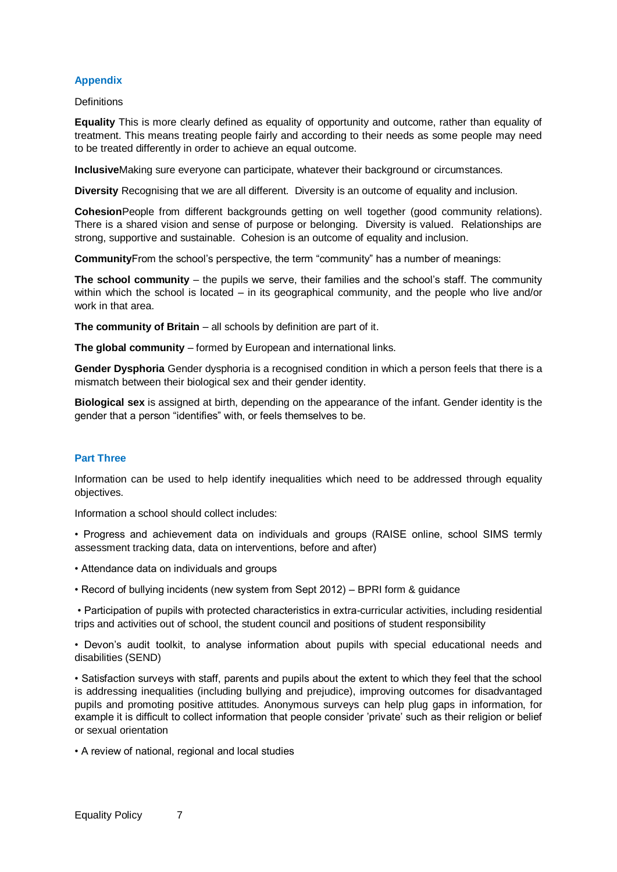# **Appendix**

# **Definitions**

**Equality** This is more clearly defined as equality of opportunity and outcome, rather than equality of treatment. This means treating people fairly and according to their needs as some people may need to be treated differently in order to achieve an equal outcome.

**Inclusive**Making sure everyone can participate, whatever their background or circumstances.

**Diversity** Recognising that we are all different. Diversity is an outcome of equality and inclusion.

**Cohesion**People from different backgrounds getting on well together (good community relations). There is a shared vision and sense of purpose or belonging. Diversity is valued. Relationships are strong, supportive and sustainable. Cohesion is an outcome of equality and inclusion.

**Community**From the school"s perspective, the term "community" has a number of meanings:

**The school community** – the pupils we serve, their families and the school's staff. The community within which the school is located – in its geographical community, and the people who live and/or work in that area.

**The community of Britain** – all schools by definition are part of it.

**The global community** – formed by European and international links.

**Gender Dysphoria** Gender dysphoria is a recognised condition in which a person feels that there is a mismatch between their biological sex and their gender identity.

**Biological sex** is assigned at birth, depending on the appearance of the infant. Gender identity is the gender that a person "identifies" with, or feels themselves to be.

# **Part Three**

Information can be used to help identify inequalities which need to be addressed through equality objectives.

Information a school should collect includes:

• Progress and achievement data on individuals and groups (RAISE online, school SIMS termly assessment tracking data, data on interventions, before and after)

- Attendance data on individuals and groups
- Record of bullying incidents (new system from Sept 2012) BPRI form & guidance

• Participation of pupils with protected characteristics in extra-curricular activities, including residential trips and activities out of school, the student council and positions of student responsibility

• Devon"s audit toolkit, to analyse information about pupils with special educational needs and disabilities (SEND)

• Satisfaction surveys with staff, parents and pupils about the extent to which they feel that the school is addressing inequalities (including bullying and prejudice), improving outcomes for disadvantaged pupils and promoting positive attitudes. Anonymous surveys can help plug gaps in information, for example it is difficult to collect information that people consider "private" such as their religion or belief or sexual orientation

• A review of national, regional and local studies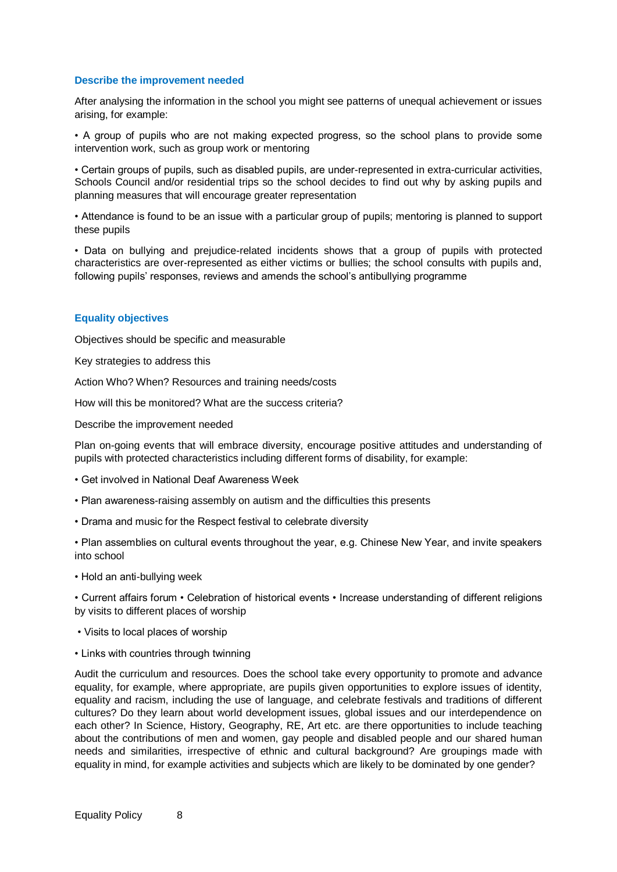# **Describe the improvement needed**

After analysing the information in the school you might see patterns of unequal achievement or issues arising, for example:

• A group of pupils who are not making expected progress, so the school plans to provide some intervention work, such as group work or mentoring

• Certain groups of pupils, such as disabled pupils, are under-represented in extra-curricular activities, Schools Council and/or residential trips so the school decides to find out why by asking pupils and planning measures that will encourage greater representation

• Attendance is found to be an issue with a particular group of pupils; mentoring is planned to support these pupils

• Data on bullying and prejudice-related incidents shows that a group of pupils with protected characteristics are over-represented as either victims or bullies; the school consults with pupils and, following pupils' responses, reviews and amends the school's antibullying programme

# **Equality objectives**

Objectives should be specific and measurable

Key strategies to address this

Action Who? When? Resources and training needs/costs

How will this be monitored? What are the success criteria?

Describe the improvement needed

Plan on-going events that will embrace diversity, encourage positive attitudes and understanding of pupils with protected characteristics including different forms of disability, for example:

- Get involved in National Deaf Awareness Week
- Plan awareness-raising assembly on autism and the difficulties this presents
- Drama and music for the Respect festival to celebrate diversity

• Plan assemblies on cultural events throughout the year, e.g. Chinese New Year, and invite speakers into school

• Hold an anti-bullying week

• Current affairs forum • Celebration of historical events • Increase understanding of different religions by visits to different places of worship

- Visits to local places of worship
- Links with countries through twinning

Audit the curriculum and resources. Does the school take every opportunity to promote and advance equality, for example, where appropriate, are pupils given opportunities to explore issues of identity, equality and racism, including the use of language, and celebrate festivals and traditions of different cultures? Do they learn about world development issues, global issues and our interdependence on each other? In Science, History, Geography, RE, Art etc. are there opportunities to include teaching about the contributions of men and women, gay people and disabled people and our shared human needs and similarities, irrespective of ethnic and cultural background? Are groupings made with equality in mind, for example activities and subjects which are likely to be dominated by one gender?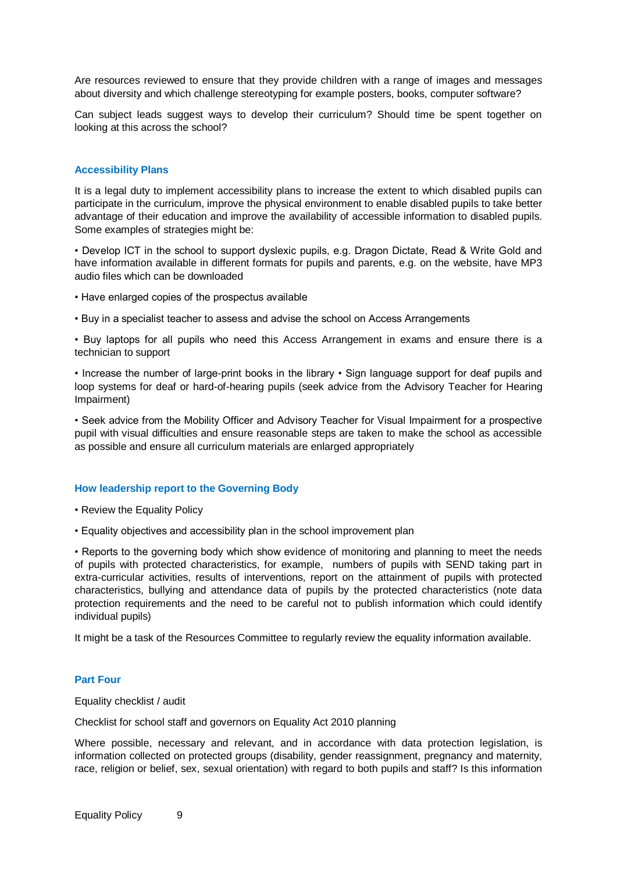Are resources reviewed to ensure that they provide children with a range of images and messages about diversity and which challenge stereotyping for example posters, books, computer software?

Can subject leads suggest ways to develop their curriculum? Should time be spent together on looking at this across the school?

# **Accessibility Plans**

It is a legal duty to implement accessibility plans to increase the extent to which disabled pupils can participate in the curriculum, improve the physical environment to enable disabled pupils to take better advantage of their education and improve the availability of accessible information to disabled pupils. Some examples of strategies might be:

• Develop ICT in the school to support dyslexic pupils, e.g. Dragon Dictate, Read & Write Gold and have information available in different formats for pupils and parents, e.g. on the website, have MP3 audio files which can be downloaded

- Have enlarged copies of the prospectus available
- Buy in a specialist teacher to assess and advise the school on Access Arrangements

• Buy laptops for all pupils who need this Access Arrangement in exams and ensure there is a technician to support

• Increase the number of large-print books in the library • Sign language support for deaf pupils and loop systems for deaf or hard-of-hearing pupils (seek advice from the Advisory Teacher for Hearing Impairment)

• Seek advice from the Mobility Officer and Advisory Teacher for Visual Impairment for a prospective pupil with visual difficulties and ensure reasonable steps are taken to make the school as accessible as possible and ensure all curriculum materials are enlarged appropriately

#### **How leadership report to the Governing Body**

- Review the Equality Policy
- Equality objectives and accessibility plan in the school improvement plan

• Reports to the governing body which show evidence of monitoring and planning to meet the needs of pupils with protected characteristics, for example, numbers of pupils with SEND taking part in extra-curricular activities, results of interventions, report on the attainment of pupils with protected characteristics, bullying and attendance data of pupils by the protected characteristics (note data protection requirements and the need to be careful not to publish information which could identify individual pupils)

It might be a task of the Resources Committee to regularly review the equality information available.

#### **Part Four**

Equality checklist / audit

Checklist for school staff and governors on Equality Act 2010 planning

Where possible, necessary and relevant, and in accordance with data protection legislation, is information collected on protected groups (disability, gender reassignment, pregnancy and maternity, race, religion or belief, sex, sexual orientation) with regard to both pupils and staff? Is this information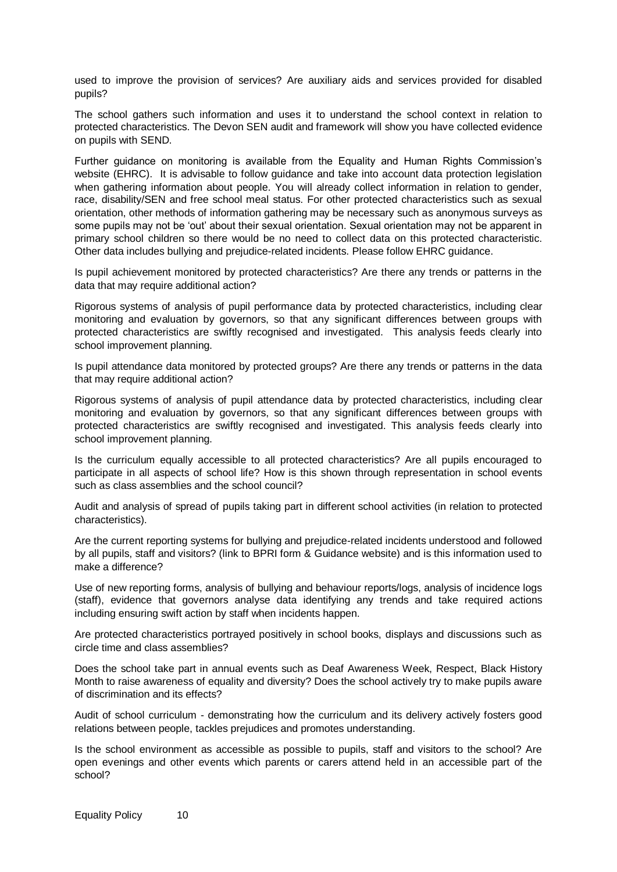used to improve the provision of services? Are auxiliary aids and services provided for disabled pupils?

The school gathers such information and uses it to understand the school context in relation to protected characteristics. The Devon SEN audit and framework will show you have collected evidence on pupils with SEND.

Further guidance on monitoring is available from the Equality and Human Rights Commission"s website (EHRC). It is advisable to follow guidance and take into account data protection legislation when gathering information about people. You will already collect information in relation to gender, race, disability/SEN and free school meal status. For other protected characteristics such as sexual orientation, other methods of information gathering may be necessary such as anonymous surveys as some pupils may not be "out" about their sexual orientation. Sexual orientation may not be apparent in primary school children so there would be no need to collect data on this protected characteristic. Other data includes bullying and prejudice-related incidents. Please follow EHRC guidance.

Is pupil achievement monitored by protected characteristics? Are there any trends or patterns in the data that may require additional action?

Rigorous systems of analysis of pupil performance data by protected characteristics, including clear monitoring and evaluation by governors, so that any significant differences between groups with protected characteristics are swiftly recognised and investigated. This analysis feeds clearly into school improvement planning.

Is pupil attendance data monitored by protected groups? Are there any trends or patterns in the data that may require additional action?

Rigorous systems of analysis of pupil attendance data by protected characteristics, including clear monitoring and evaluation by governors, so that any significant differences between groups with protected characteristics are swiftly recognised and investigated. This analysis feeds clearly into school improvement planning.

Is the curriculum equally accessible to all protected characteristics? Are all pupils encouraged to participate in all aspects of school life? How is this shown through representation in school events such as class assemblies and the school council?

Audit and analysis of spread of pupils taking part in different school activities (in relation to protected characteristics).

Are the current reporting systems for bullying and prejudice-related incidents understood and followed by all pupils, staff and visitors? (link to BPRI form & Guidance website) and is this information used to make a difference?

Use of new reporting forms, analysis of bullying and behaviour reports/logs, analysis of incidence logs (staff), evidence that governors analyse data identifying any trends and take required actions including ensuring swift action by staff when incidents happen.

Are protected characteristics portrayed positively in school books, displays and discussions such as circle time and class assemblies?

Does the school take part in annual events such as Deaf Awareness Week, Respect, Black History Month to raise awareness of equality and diversity? Does the school actively try to make pupils aware of discrimination and its effects?

Audit of school curriculum - demonstrating how the curriculum and its delivery actively fosters good relations between people, tackles prejudices and promotes understanding.

Is the school environment as accessible as possible to pupils, staff and visitors to the school? Are open evenings and other events which parents or carers attend held in an accessible part of the school?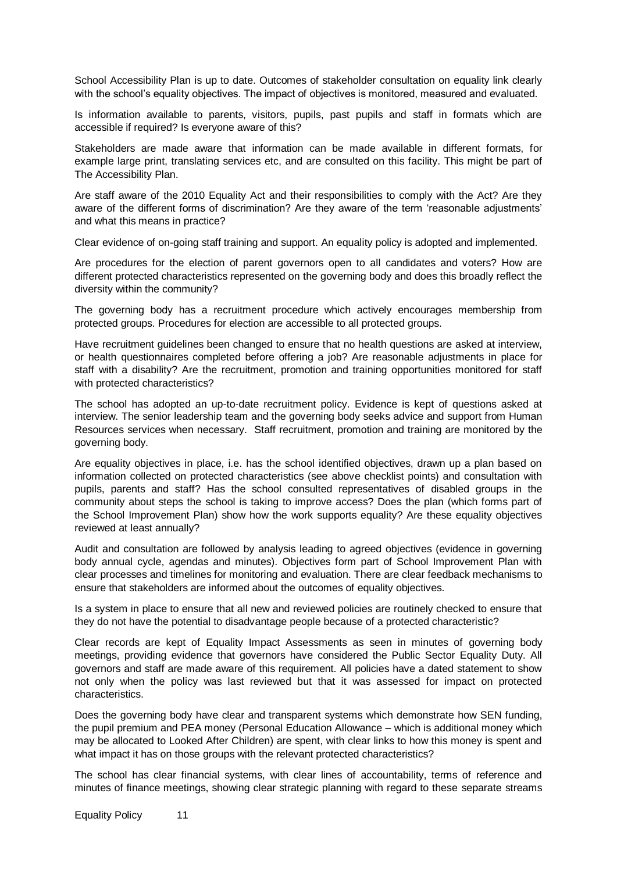School Accessibility Plan is up to date. Outcomes of stakeholder consultation on equality link clearly with the school's equality objectives. The impact of objectives is monitored, measured and evaluated.

Is information available to parents, visitors, pupils, past pupils and staff in formats which are accessible if required? Is everyone aware of this?

Stakeholders are made aware that information can be made available in different formats, for example large print, translating services etc, and are consulted on this facility. This might be part of The Accessibility Plan.

Are staff aware of the 2010 Equality Act and their responsibilities to comply with the Act? Are they aware of the different forms of discrimination? Are they aware of the term "reasonable adjustments" and what this means in practice?

Clear evidence of on-going staff training and support. An equality policy is adopted and implemented.

Are procedures for the election of parent governors open to all candidates and voters? How are different protected characteristics represented on the governing body and does this broadly reflect the diversity within the community?

The governing body has a recruitment procedure which actively encourages membership from protected groups. Procedures for election are accessible to all protected groups.

Have recruitment guidelines been changed to ensure that no health questions are asked at interview, or health questionnaires completed before offering a job? Are reasonable adjustments in place for staff with a disability? Are the recruitment, promotion and training opportunities monitored for staff with protected characteristics?

The school has adopted an up-to-date recruitment policy. Evidence is kept of questions asked at interview. The senior leadership team and the governing body seeks advice and support from Human Resources services when necessary. Staff recruitment, promotion and training are monitored by the governing body.

Are equality objectives in place, i.e. has the school identified objectives, drawn up a plan based on information collected on protected characteristics (see above checklist points) and consultation with pupils, parents and staff? Has the school consulted representatives of disabled groups in the community about steps the school is taking to improve access? Does the plan (which forms part of the School Improvement Plan) show how the work supports equality? Are these equality objectives reviewed at least annually?

Audit and consultation are followed by analysis leading to agreed objectives (evidence in governing body annual cycle, agendas and minutes). Objectives form part of School Improvement Plan with clear processes and timelines for monitoring and evaluation. There are clear feedback mechanisms to ensure that stakeholders are informed about the outcomes of equality objectives.

Is a system in place to ensure that all new and reviewed policies are routinely checked to ensure that they do not have the potential to disadvantage people because of a protected characteristic?

Clear records are kept of Equality Impact Assessments as seen in minutes of governing body meetings, providing evidence that governors have considered the Public Sector Equality Duty. All governors and staff are made aware of this requirement. All policies have a dated statement to show not only when the policy was last reviewed but that it was assessed for impact on protected characteristics.

Does the governing body have clear and transparent systems which demonstrate how SEN funding, the pupil premium and PEA money (Personal Education Allowance – which is additional money which may be allocated to Looked After Children) are spent, with clear links to how this money is spent and what impact it has on those groups with the relevant protected characteristics?

The school has clear financial systems, with clear lines of accountability, terms of reference and minutes of finance meetings, showing clear strategic planning with regard to these separate streams